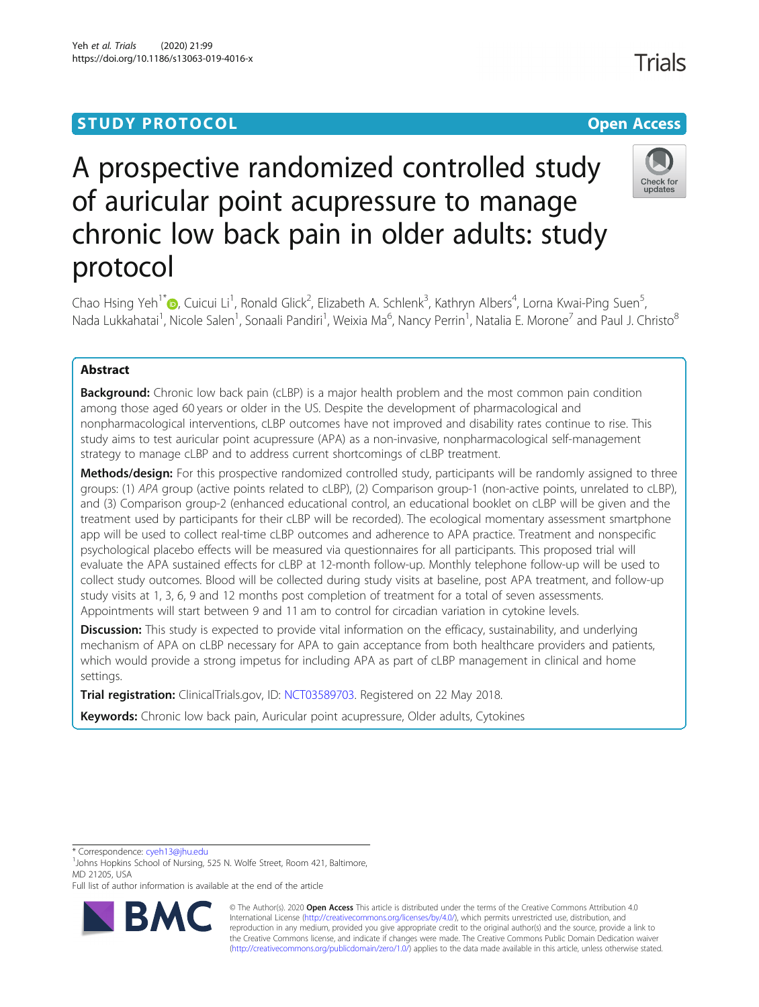# **STUDY PROTOCOL CONSUMING THE CONSUMING OPEN ACCESS** A prospective randomized controlled study of auricular point acupressure to manage

Chao Hsing Yeh<sup>1\*</sup>�[,](http://orcid.org/0000-0001-5326-6660) Cuicui Li<sup>1</sup>, Ronald Glick<sup>2</sup>, Elizabeth A. Schlenk<sup>3</sup>, Kathryn Albers<sup>4</sup>, Lorna Kwai-Ping Suen<sup>5</sup> , Nada Lukkahatai<sup>1</sup>, Nicole Salen<sup>1</sup>, Sonaali Pandiri<sup>1</sup>, Weixia Ma<sup>6</sup>, Nancy Perrin<sup>1</sup>, Natalia E. Morone<sup>7</sup> and Paul J. Christo<sup>8</sup>

chronic low back pain in older adults: study

## Abstract

protocol

**Background:** Chronic low back pain (cLBP) is a major health problem and the most common pain condition among those aged 60 years or older in the US. Despite the development of pharmacological and nonpharmacological interventions, cLBP outcomes have not improved and disability rates continue to rise. This study aims to test auricular point acupressure (APA) as a non-invasive, nonpharmacological self-management strategy to manage cLBP and to address current shortcomings of cLBP treatment.

Methods/design: For this prospective randomized controlled study, participants will be randomly assigned to three groups: (1) APA group (active points related to cLBP), (2) Comparison group-1 (non-active points, unrelated to cLBP), and (3) Comparison group-2 (enhanced educational control, an educational booklet on cLBP will be given and the treatment used by participants for their cLBP will be recorded). The ecological momentary assessment smartphone app will be used to collect real-time cLBP outcomes and adherence to APA practice. Treatment and nonspecific psychological placebo effects will be measured via questionnaires for all participants. This proposed trial will evaluate the APA sustained effects for cLBP at 12-month follow-up. Monthly telephone follow-up will be used to collect study outcomes. Blood will be collected during study visits at baseline, post APA treatment, and follow-up study visits at 1, 3, 6, 9 and 12 months post completion of treatment for a total of seven assessments. Appointments will start between 9 and 11 am to control for circadian variation in cytokine levels.

**Discussion:** This study is expected to provide vital information on the efficacy, sustainability, and underlying mechanism of APA on cLBP necessary for APA to gain acceptance from both healthcare providers and patients, which would provide a strong impetus for including APA as part of cLBP management in clinical and home settings.

Trial registration: ClinicalTrials.gov, ID: [NCT03589703](https://www.clinicaltrials.gov/ct2/show/NCT03589703). Registered on 22 May 2018.

Keywords: Chronic low back pain, Auricular point acupressure, Older adults, Cytokines

\* Correspondence: [cyeh13@jhu.edu](mailto:cyeh13@jhu.edu) <sup>1</sup>





© The Author(s). 2020 **Open Access** This article is distributed under the terms of the Creative Commons Attribution 4.0 International License [\(http://creativecommons.org/licenses/by/4.0/](http://creativecommons.org/licenses/by/4.0/)), which permits unrestricted use, distribution, and reproduction in any medium, provided you give appropriate credit to the original author(s) and the source, provide a link to the Creative Commons license, and indicate if changes were made. The Creative Commons Public Domain Dedication waiver [\(http://creativecommons.org/publicdomain/zero/1.0/](http://creativecommons.org/publicdomain/zero/1.0/)) applies to the data made available in this article, unless otherwise stated.



<sup>&</sup>lt;sup>1</sup> Johns Hopkins School of Nursing, 525 N. Wolfe Street, Room 421, Baltimore, MD 21205, USA

Full list of author information is available at the end of the article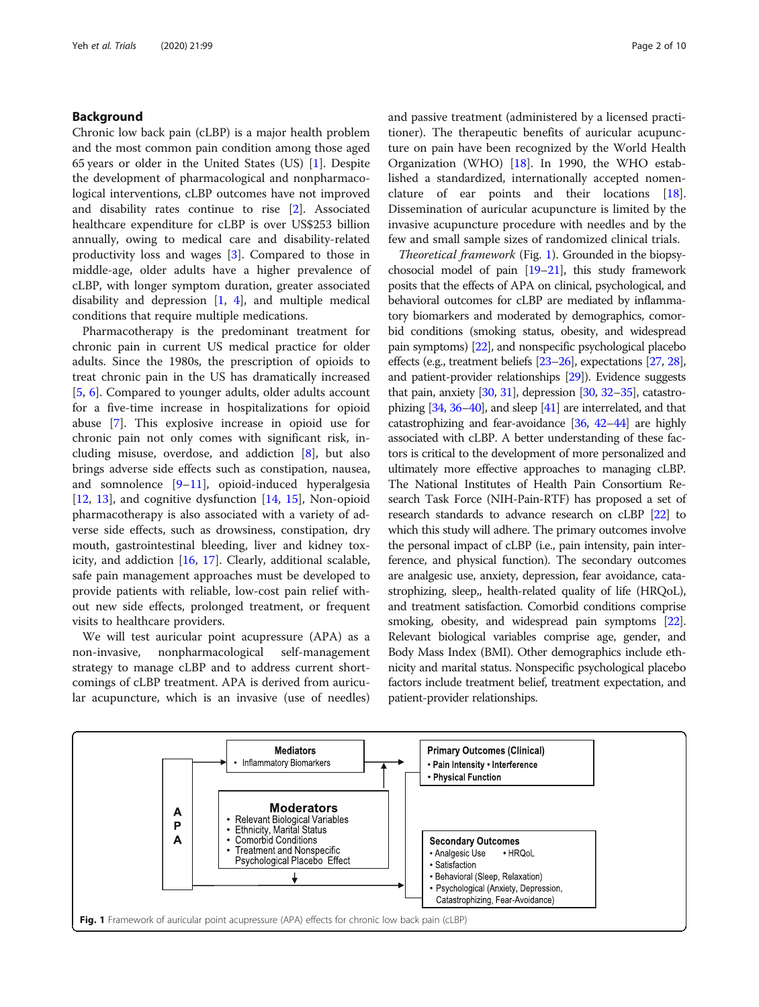## Background

Chronic low back pain (cLBP) is a major health problem and the most common pain condition among those aged 65 years or older in the United States (US) [[1\]](#page-8-0). Despite the development of pharmacological and nonpharmacological interventions, cLBP outcomes have not improved and disability rates continue to rise [[2\]](#page-8-0). Associated healthcare expenditure for cLBP is over US\$253 billion annually, owing to medical care and disability-related productivity loss and wages [\[3](#page-8-0)]. Compared to those in middle-age, older adults have a higher prevalence of cLBP, with longer symptom duration, greater associated disability and depression  $[1, 4]$  $[1, 4]$  $[1, 4]$  $[1, 4]$  $[1, 4]$ , and multiple medical conditions that require multiple medications.

Pharmacotherapy is the predominant treatment for chronic pain in current US medical practice for older adults. Since the 1980s, the prescription of opioids to treat chronic pain in the US has dramatically increased [[5,](#page-8-0) [6\]](#page-8-0). Compared to younger adults, older adults account for a five-time increase in hospitalizations for opioid abuse [\[7](#page-8-0)]. This explosive increase in opioid use for chronic pain not only comes with significant risk, including misuse, overdose, and addiction [[8\]](#page-8-0), but also brings adverse side effects such as constipation, nausea, and somnolence [\[9](#page-8-0)–[11\]](#page-8-0), opioid-induced hyperalgesia [[12,](#page-8-0) [13](#page-8-0)], and cognitive dysfunction [[14](#page-8-0), [15](#page-8-0)], Non-opioid pharmacotherapy is also associated with a variety of adverse side effects, such as drowsiness, constipation, dry mouth, gastrointestinal bleeding, liver and kidney toxicity, and addiction [\[16](#page-8-0), [17\]](#page-8-0). Clearly, additional scalable, safe pain management approaches must be developed to provide patients with reliable, low-cost pain relief without new side effects, prolonged treatment, or frequent visits to healthcare providers.

We will test auricular point acupressure (APA) as a non-invasive, nonpharmacological self-management strategy to manage cLBP and to address current shortcomings of cLBP treatment. APA is derived from auricular acupuncture, which is an invasive (use of needles)

and passive treatment (administered by a licensed practitioner). The therapeutic benefits of auricular acupuncture on pain have been recognized by the World Health Organization (WHO) [[18](#page-8-0)]. In 1990, the WHO established a standardized, internationally accepted nomenclature of ear points and their locations [\[18](#page-8-0)]. Dissemination of auricular acupuncture is limited by the invasive acupuncture procedure with needles and by the few and small sample sizes of randomized clinical trials.

Theoretical framework (Fig. 1). Grounded in the biopsychosocial model of pain [[19](#page-8-0)–[21](#page-9-0)], this study framework posits that the effects of APA on clinical, psychological, and behavioral outcomes for cLBP are mediated by inflammatory biomarkers and moderated by demographics, comorbid conditions (smoking status, obesity, and widespread pain symptoms) [\[22\]](#page-9-0), and nonspecific psychological placebo effects (e.g., treatment beliefs [\[23](#page-9-0)–[26\]](#page-9-0), expectations [\[27](#page-9-0), [28](#page-9-0)], and patient-provider relationships [\[29\]](#page-9-0)). Evidence suggests that pain, anxiety  $[30, 31]$  $[30, 31]$  $[30, 31]$  $[30, 31]$ , depression  $[30, 32-35]$  $[30, 32-35]$  $[30, 32-35]$  $[30, 32-35]$  $[30, 32-35]$  $[30, 32-35]$ , catastrophizing  $[34, 36-40]$  $[34, 36-40]$  $[34, 36-40]$  $[34, 36-40]$  $[34, 36-40]$ , and sleep  $[41]$  are interrelated, and that catastrophizing and fear-avoidance [\[36](#page-9-0), [42](#page-9-0)–[44](#page-9-0)] are highly associated with cLBP. A better understanding of these factors is critical to the development of more personalized and ultimately more effective approaches to managing cLBP. The National Institutes of Health Pain Consortium Research Task Force (NIH-Pain-RTF) has proposed a set of research standards to advance research on cLBP [\[22\]](#page-9-0) to which this study will adhere. The primary outcomes involve the personal impact of cLBP (i.e., pain intensity, pain interference, and physical function). The secondary outcomes are analgesic use, anxiety, depression, fear avoidance, catastrophizing, sleep,, health-related quality of life (HRQoL), and treatment satisfaction. Comorbid conditions comprise smoking, obesity, and widespread pain symptoms [\[22](#page-9-0)]. Relevant biological variables comprise age, gender, and Body Mass Index (BMI). Other demographics include ethnicity and marital status. Nonspecific psychological placebo factors include treatment belief, treatment expectation, and patient-provider relationships.

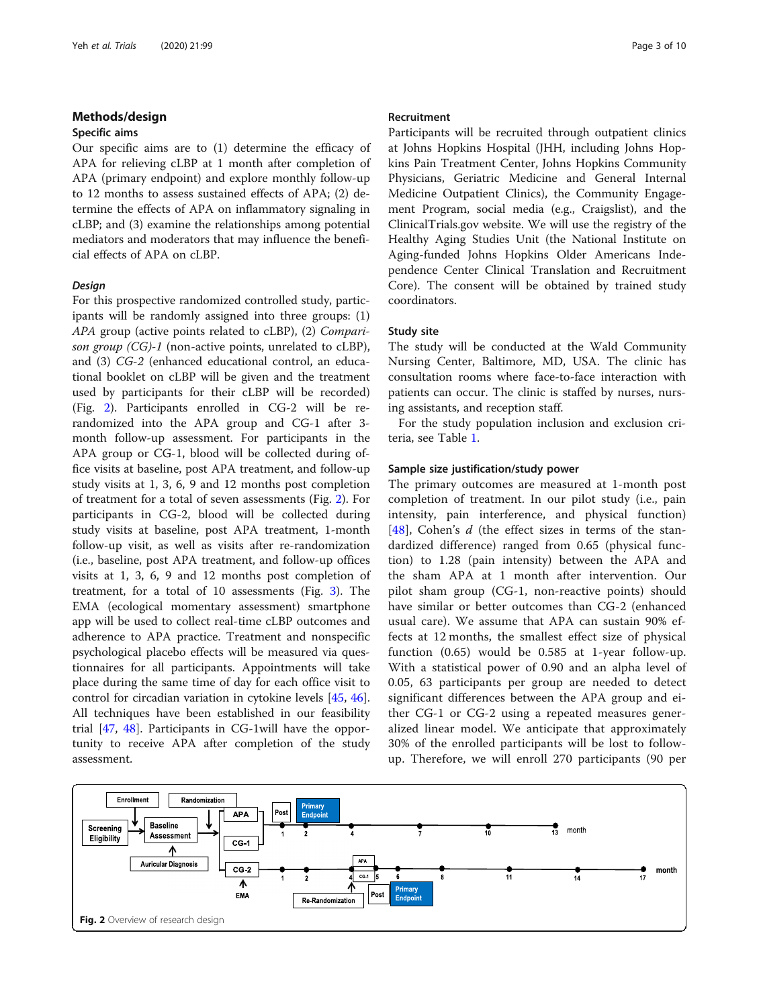## Methods/design

## Specific aims

Our specific aims are to (1) determine the efficacy of APA for relieving cLBP at 1 month after completion of APA (primary endpoint) and explore monthly follow-up to 12 months to assess sustained effects of APA; (2) determine the effects of APA on inflammatory signaling in cLBP; and (3) examine the relationships among potential mediators and moderators that may influence the beneficial effects of APA on cLBP.

## Design

For this prospective randomized controlled study, participants will be randomly assigned into three groups: (1) APA group (active points related to cLBP), (2) Comparison group (CG)-1 (non-active points, unrelated to cLBP), and (3) CG-2 (enhanced educational control, an educational booklet on cLBP will be given and the treatment used by participants for their cLBP will be recorded) (Fig. 2). Participants enrolled in CG-2 will be rerandomized into the APA group and CG-1 after 3 month follow-up assessment. For participants in the APA group or CG-1, blood will be collected during office visits at baseline, post APA treatment, and follow-up study visits at 1, 3, 6, 9 and 12 months post completion of treatment for a total of seven assessments (Fig. 2). For participants in CG-2, blood will be collected during study visits at baseline, post APA treatment, 1-month follow-up visit, as well as visits after re-randomization (i.e., baseline, post APA treatment, and follow-up offices visits at 1, 3, 6, 9 and 12 months post completion of treatment, for a total of 10 assessments (Fig. [3\)](#page-3-0). The EMA (ecological momentary assessment) smartphone app will be used to collect real-time cLBP outcomes and adherence to APA practice. Treatment and nonspecific psychological placebo effects will be measured via questionnaires for all participants. Appointments will take place during the same time of day for each office visit to control for circadian variation in cytokine levels [\[45](#page-9-0), [46](#page-9-0)]. All techniques have been established in our feasibility trial [[47](#page-9-0), [48\]](#page-9-0). Participants in CG-1will have the opportunity to receive APA after completion of the study assessment.

#### Recruitment

Participants will be recruited through outpatient clinics at Johns Hopkins Hospital (JHH, including Johns Hopkins Pain Treatment Center, Johns Hopkins Community Physicians, Geriatric Medicine and General Internal Medicine Outpatient Clinics), the Community Engagement Program, social media (e.g., Craigslist), and the ClinicalTrials.gov website. We will use the registry of the Healthy Aging Studies Unit (the National Institute on Aging-funded Johns Hopkins Older Americans Independence Center Clinical Translation and Recruitment Core). The consent will be obtained by trained study coordinators.

## Study site

The study will be conducted at the Wald Community Nursing Center, Baltimore, MD, USA. The clinic has consultation rooms where face-to-face interaction with patients can occur. The clinic is staffed by nurses, nursing assistants, and reception staff.

For the study population inclusion and exclusion criteria, see Table [1](#page-3-0).

## Sample size justification/study power

The primary outcomes are measured at 1-month post completion of treatment. In our pilot study (i.e., pain intensity, pain interference, and physical function) [[48\]](#page-9-0), Cohen's  $d$  (the effect sizes in terms of the standardized difference) ranged from 0.65 (physical function) to 1.28 (pain intensity) between the APA and the sham APA at 1 month after intervention. Our pilot sham group (CG-1, non-reactive points) should have similar or better outcomes than CG-2 (enhanced usual care). We assume that APA can sustain 90% effects at 12 months, the smallest effect size of physical function (0.65) would be 0.585 at 1-year follow-up. With a statistical power of 0.90 and an alpha level of 0.05, 63 participants per group are needed to detect significant differences between the APA group and either CG-1 or CG-2 using a repeated measures generalized linear model. We anticipate that approximately 30% of the enrolled participants will be lost to followup. Therefore, we will enroll 270 participants (90 per

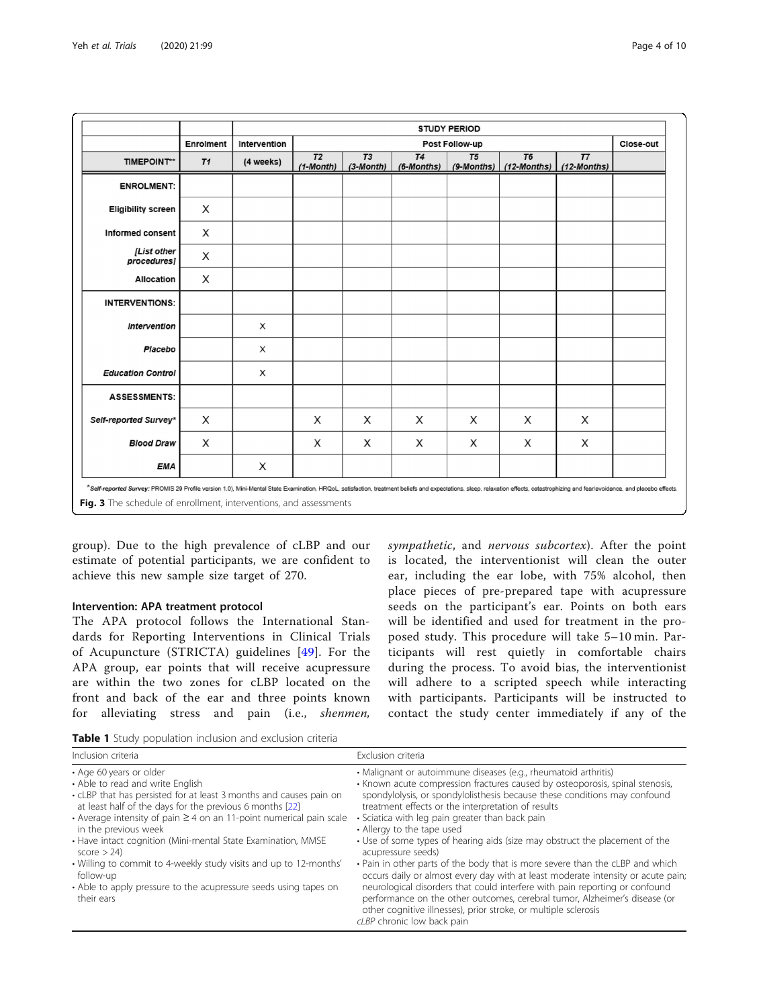<span id="page-3-0"></span>

|                            |                | <b>STUDY PERIOD</b>            |                               |                   |                  |                  |                      |                               |  |
|----------------------------|----------------|--------------------------------|-------------------------------|-------------------|------------------|------------------|----------------------|-------------------------------|--|
|                            | Enrolment      | Intervention<br>Post Follow-up |                               |                   |                  |                  | Close-out            |                               |  |
| <b>TIMEPOINT**</b>         | T <sub>1</sub> | (4 weeks)                      | T <sub>2</sub><br>$(1-Month)$ | T3<br>$(3-Month)$ | T4<br>(6-Months) | T5<br>(9-Months) | T6<br>$(12$ -Months) | T <sub>7</sub><br>(12-Months) |  |
| <b>ENROLMENT:</b>          |                |                                |                               |                   |                  |                  |                      |                               |  |
| <b>Eligibility screen</b>  | X              |                                |                               |                   |                  |                  |                      |                               |  |
| Informed consent           | X              |                                |                               |                   |                  |                  |                      |                               |  |
| [List other<br>procedures] | X              |                                |                               |                   |                  |                  |                      |                               |  |
| Allocation                 | X              |                                |                               |                   |                  |                  |                      |                               |  |
| <b>INTERVENTIONS:</b>      |                |                                |                               |                   |                  |                  |                      |                               |  |
| Intervention               |                | X                              |                               |                   |                  |                  |                      |                               |  |
| Placebo                    |                | X                              |                               |                   |                  |                  |                      |                               |  |
| <b>Education Control</b>   |                | X                              |                               |                   |                  |                  |                      |                               |  |
| <b>ASSESSMENTS:</b>        |                |                                |                               |                   |                  |                  |                      |                               |  |
| Self-reported Survey*      | Х              |                                | Х                             | X                 | Х                | X                | X                    | Х                             |  |
| <b>Blood Draw</b>          | X              |                                | X                             | X                 | X                | X                | X                    | X                             |  |
| EMA                        |                | X                              |                               |                   |                  |                  |                      |                               |  |

group). Due to the high prevalence of cLBP and our estimate of potential participants, we are confident to achieve this new sample size target of 270.

## Intervention: APA treatment protocol

The APA protocol follows the International Standards for Reporting Interventions in Clinical Trials of Acupuncture (STRICTA) guidelines [[49\]](#page-9-0). For the APA group, ear points that will receive acupressure are within the two zones for cLBP located on the front and back of the ear and three points known for alleviating stress and pain (i.e., shenmen, sympathetic, and nervous subcortex). After the point is located, the interventionist will clean the outer ear, including the ear lobe, with 75% alcohol, then place pieces of pre-prepared tape with acupressure seeds on the participant's ear. Points on both ears will be identified and used for treatment in the proposed study. This procedure will take 5–10 min. Participants will rest quietly in comfortable chairs during the process. To avoid bias, the interventionist will adhere to a scripted speech while interacting with participants. Participants will be instructed to contact the study center immediately if any of the

| Table 1 Study population inclusion and exclusion criteria |  |  |  |  |  |
|-----------------------------------------------------------|--|--|--|--|--|
|-----------------------------------------------------------|--|--|--|--|--|

| Inclusion criteria                                                                                                                                                                                                                                                                                                                                                                                                                                                                                                                                      | Exclusion criteria                                                                                                                                                                                                                                                                                                                                                                                                                                                                                                                                                                                                                                                                                                                                                                                                                                                                                          |
|---------------------------------------------------------------------------------------------------------------------------------------------------------------------------------------------------------------------------------------------------------------------------------------------------------------------------------------------------------------------------------------------------------------------------------------------------------------------------------------------------------------------------------------------------------|-------------------------------------------------------------------------------------------------------------------------------------------------------------------------------------------------------------------------------------------------------------------------------------------------------------------------------------------------------------------------------------------------------------------------------------------------------------------------------------------------------------------------------------------------------------------------------------------------------------------------------------------------------------------------------------------------------------------------------------------------------------------------------------------------------------------------------------------------------------------------------------------------------------|
| • Age 60 years or older<br>• Able to read and write English<br>• cLBP that has persisted for at least 3 months and causes pain on<br>at least half of the days for the previous 6 months [22]<br>• Average intensity of pain $\geq 4$ on an 11-point numerical pain scale<br>in the previous week<br>• Have intact cognition (Mini-mental State Examination, MMSE<br>score $> 24$ )<br>• Willing to commit to 4-weekly study visits and up to 12-months'<br>follow-up<br>• Able to apply pressure to the acupressure seeds using tapes on<br>their ears | • Malignant or autoimmune diseases (e.g., rheumatoid arthritis)<br>• Known acute compression fractures caused by osteoporosis, spinal stenosis,<br>spondylolysis, or spondylolisthesis because these conditions may confound<br>treatment effects or the interpretation of results<br>· Sciatica with leg pain greater than back pain<br>• Allergy to the tape used<br>• Use of some types of hearing aids (size may obstruct the placement of the<br>acupressure seeds)<br>• Pain in other parts of the body that is more severe than the cLBP and which<br>occurs daily or almost every day with at least moderate intensity or acute pain;<br>neurological disorders that could interfere with pain reporting or confound<br>performance on the other outcomes, cerebral tumor, Alzheimer's disease (or<br>other cognitive illnesses), prior stroke, or multiple sclerosis<br>cLBP chronic low back pain |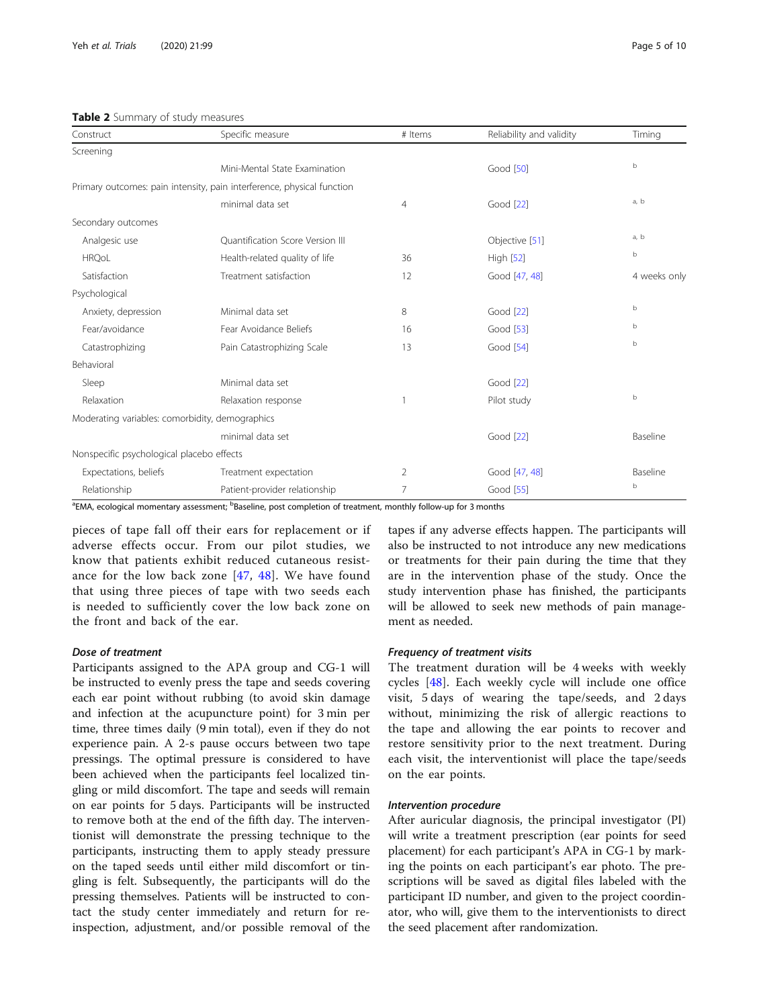## <span id="page-4-0"></span>Table 2 Summary of study measures

| Construct                                       | Specific measure                                                       | # Items        | Reliability and validity | Timing       |
|-------------------------------------------------|------------------------------------------------------------------------|----------------|--------------------------|--------------|
| Screening                                       |                                                                        |                |                          |              |
|                                                 | Mini-Mental State Examination                                          |                | Good [50]                | $\mathbf b$  |
|                                                 | Primary outcomes: pain intensity, pain interference, physical function |                |                          |              |
|                                                 | minimal data set                                                       | 4              | Good [22]                | a, b         |
| Secondary outcomes                              |                                                                        |                |                          |              |
| Analgesic use                                   | Ouantification Score Version III                                       |                | Objective [51]           | a, b         |
| <b>HRQoL</b>                                    | Health-related quality of life                                         | 36             | <b>High [52]</b>         | $\mathsf b$  |
| Satisfaction                                    | Treatment satisfaction                                                 | 12             | Good [47, 48]            | 4 weeks only |
| Psychological                                   |                                                                        |                |                          |              |
| Anxiety, depression                             | Minimal data set                                                       | 8              | Good [22]                | $\mathbf b$  |
| Fear/avoidance                                  | Fear Avoidance Beliefs                                                 | 16             | Good [53]                | b            |
| Catastrophizing                                 | Pain Catastrophizing Scale                                             | 13             | Good [54]                | b            |
| Behavioral                                      |                                                                        |                |                          |              |
| Sleep                                           | Minimal data set                                                       |                | Good [22]                |              |
| Relaxation                                      | Relaxation response                                                    |                | Pilot study              | $\mathbf b$  |
| Moderating variables: comorbidity, demographics |                                                                        |                |                          |              |
|                                                 | minimal data set                                                       |                | Good [22]                | Baseline     |
| Nonspecific psychological placebo effects       |                                                                        |                |                          |              |
| Expectations, beliefs                           | Treatment expectation                                                  | 2              | Good [47, 48]            | Baseline     |
| Relationship                                    | Patient-provider relationship                                          | $\overline{7}$ | Good [55]                | b            |

<sup>a</sup>EMA, ecological momentary assessment; <sup>b</sup>Baseline, post completion of treatment, monthly follow-up for 3 months

pieces of tape fall off their ears for replacement or if adverse effects occur. From our pilot studies, we know that patients exhibit reduced cutaneous resistance for the low back zone [[47](#page-9-0), [48\]](#page-9-0). We have found that using three pieces of tape with two seeds each is needed to sufficiently cover the low back zone on the front and back of the ear.

## Dose of treatment

Participants assigned to the APA group and CG-1 will be instructed to evenly press the tape and seeds covering each ear point without rubbing (to avoid skin damage and infection at the acupuncture point) for 3 min per time, three times daily (9 min total), even if they do not experience pain. A 2-s pause occurs between two tape pressings. The optimal pressure is considered to have been achieved when the participants feel localized tingling or mild discomfort. The tape and seeds will remain on ear points for 5 days. Participants will be instructed to remove both at the end of the fifth day. The interventionist will demonstrate the pressing technique to the participants, instructing them to apply steady pressure on the taped seeds until either mild discomfort or tingling is felt. Subsequently, the participants will do the pressing themselves. Patients will be instructed to contact the study center immediately and return for reinspection, adjustment, and/or possible removal of the

tapes if any adverse effects happen. The participants will also be instructed to not introduce any new medications or treatments for their pain during the time that they are in the intervention phase of the study. Once the study intervention phase has finished, the participants will be allowed to seek new methods of pain management as needed.

## Frequency of treatment visits

The treatment duration will be 4 weeks with weekly cycles [\[48](#page-9-0)]. Each weekly cycle will include one office visit, 5 days of wearing the tape/seeds, and 2 days without, minimizing the risk of allergic reactions to the tape and allowing the ear points to recover and restore sensitivity prior to the next treatment. During each visit, the interventionist will place the tape/seeds on the ear points.

## Intervention procedure

After auricular diagnosis, the principal investigator (PI) will write a treatment prescription (ear points for seed placement) for each participant's APA in CG-1 by marking the points on each participant's ear photo. The prescriptions will be saved as digital files labeled with the participant ID number, and given to the project coordinator, who will, give them to the interventionists to direct the seed placement after randomization.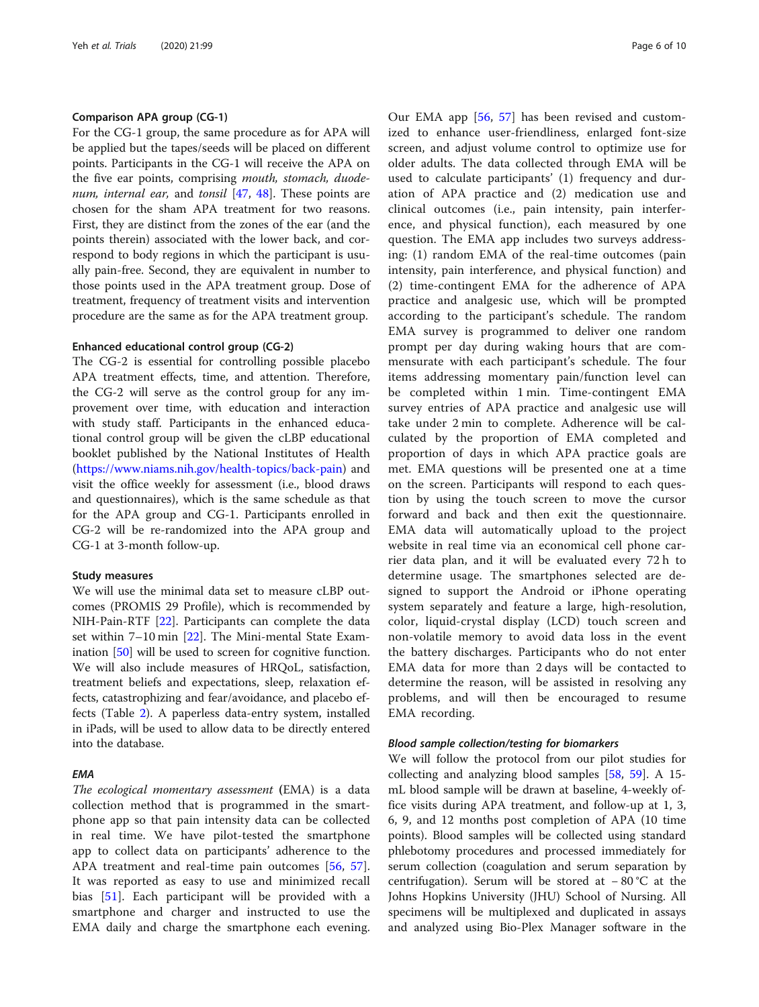## Comparison APA group (CG-1)

For the CG-1 group, the same procedure as for APA will be applied but the tapes/seeds will be placed on different points. Participants in the CG-1 will receive the APA on the five ear points, comprising mouth, stomach, duodenum, internal ear, and tonsil  $[47, 48]$  $[47, 48]$  $[47, 48]$  $[47, 48]$ . These points are chosen for the sham APA treatment for two reasons. First, they are distinct from the zones of the ear (and the points therein) associated with the lower back, and correspond to body regions in which the participant is usually pain-free. Second, they are equivalent in number to those points used in the APA treatment group. Dose of treatment, frequency of treatment visits and intervention procedure are the same as for the APA treatment group.

## Enhanced educational control group (CG-2)

The CG-2 is essential for controlling possible placebo APA treatment effects, time, and attention. Therefore, the CG-2 will serve as the control group for any improvement over time, with education and interaction with study staff. Participants in the enhanced educational control group will be given the cLBP educational booklet published by the National Institutes of Health ([https://www.niams.nih.gov/health-topics/back-pain\)](https://www.niams.nih.gov/health-topics/back-pain) and visit the office weekly for assessment (i.e., blood draws and questionnaires), which is the same schedule as that for the APA group and CG-1. Participants enrolled in CG-2 will be re-randomized into the APA group and CG-1 at 3-month follow-up.

#### Study measures

We will use the minimal data set to measure cLBP outcomes (PROMIS 29 Profile), which is recommended by NIH-Pain-RTF [[22\]](#page-9-0). Participants can complete the data set within 7–10 min [[22\]](#page-9-0). The Mini-mental State Examination [[50](#page-9-0)] will be used to screen for cognitive function. We will also include measures of HRQoL, satisfaction, treatment beliefs and expectations, sleep, relaxation effects, catastrophizing and fear/avoidance, and placebo effects (Table [2\)](#page-4-0). A paperless data-entry system, installed in iPads, will be used to allow data to be directly entered into the database.

#### EMA

The ecological momentary assessment (EMA) is a data collection method that is programmed in the smartphone app so that pain intensity data can be collected in real time. We have pilot-tested the smartphone app to collect data on participants' adherence to the APA treatment and real-time pain outcomes [\[56](#page-9-0), [57](#page-9-0)]. It was reported as easy to use and minimized recall bias [\[51](#page-9-0)]. Each participant will be provided with a smartphone and charger and instructed to use the EMA daily and charge the smartphone each evening.

Our EMA app [[56,](#page-9-0) [57](#page-9-0)] has been revised and customized to enhance user-friendliness, enlarged font-size screen, and adjust volume control to optimize use for older adults. The data collected through EMA will be used to calculate participants' (1) frequency and duration of APA practice and (2) medication use and clinical outcomes (i.e., pain intensity, pain interference, and physical function), each measured by one question. The EMA app includes two surveys addressing: (1) random EMA of the real-time outcomes (pain intensity, pain interference, and physical function) and (2) time-contingent EMA for the adherence of APA practice and analgesic use, which will be prompted according to the participant's schedule. The random EMA survey is programmed to deliver one random prompt per day during waking hours that are commensurate with each participant's schedule. The four items addressing momentary pain/function level can be completed within 1 min. Time-contingent EMA survey entries of APA practice and analgesic use will take under 2 min to complete. Adherence will be calculated by the proportion of EMA completed and proportion of days in which APA practice goals are met. EMA questions will be presented one at a time on the screen. Participants will respond to each question by using the touch screen to move the cursor forward and back and then exit the questionnaire. EMA data will automatically upload to the project website in real time via an economical cell phone carrier data plan, and it will be evaluated every 72 h to determine usage. The smartphones selected are designed to support the Android or iPhone operating system separately and feature a large, high-resolution, color, liquid-crystal display (LCD) touch screen and non-volatile memory to avoid data loss in the event the battery discharges. Participants who do not enter EMA data for more than 2 days will be contacted to determine the reason, will be assisted in resolving any problems, and will then be encouraged to resume EMA recording.

## Blood sample collection/testing for biomarkers

We will follow the protocol from our pilot studies for collecting and analyzing blood samples [[58,](#page-9-0) [59](#page-9-0)]. A 15 mL blood sample will be drawn at baseline, 4-weekly office visits during APA treatment, and follow-up at 1, 3, 6, 9, and 12 months post completion of APA (10 time points). Blood samples will be collected using standard phlebotomy procedures and processed immediately for serum collection (coagulation and serum separation by centrifugation). Serum will be stored at − 80 °C at the Johns Hopkins University (JHU) School of Nursing. All specimens will be multiplexed and duplicated in assays and analyzed using Bio-Plex Manager software in the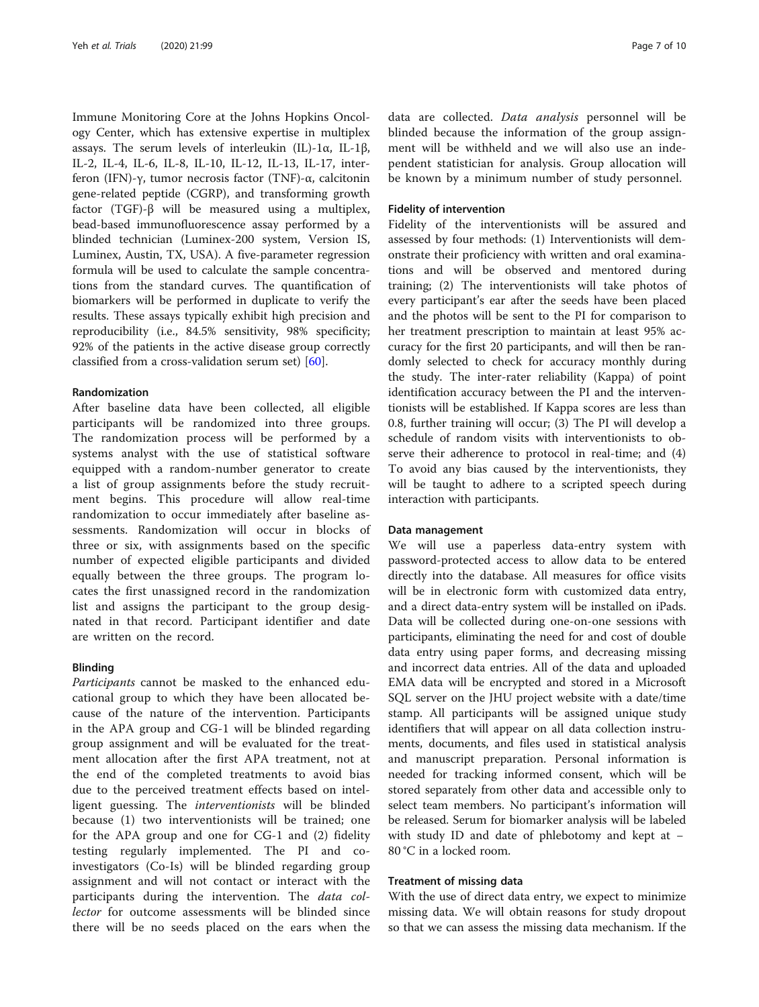Immune Monitoring Core at the Johns Hopkins Oncology Center, which has extensive expertise in multiplex assays. The serum levels of interleukin (IL)-1α, IL-1β, IL-2, IL-4, IL-6, IL-8, IL-10, IL-12, IL-13, IL-17, interferon (IFN)-γ, tumor necrosis factor (TNF)-α, calcitonin gene-related peptide (CGRP), and transforming growth factor (TGF)-β will be measured using a multiplex, bead-based immunofluorescence assay performed by a blinded technician (Luminex-200 system, Version IS, Luminex, Austin, TX, USA). A five-parameter regression formula will be used to calculate the sample concentrations from the standard curves. The quantification of biomarkers will be performed in duplicate to verify the results. These assays typically exhibit high precision and reproducibility (i.e., 84.5% sensitivity, 98% specificity; 92% of the patients in the active disease group correctly classified from a cross-validation serum set) [\[60](#page-9-0)].

#### Randomization

After baseline data have been collected, all eligible participants will be randomized into three groups. The randomization process will be performed by a systems analyst with the use of statistical software equipped with a random-number generator to create a list of group assignments before the study recruitment begins. This procedure will allow real-time randomization to occur immediately after baseline assessments. Randomization will occur in blocks of three or six, with assignments based on the specific number of expected eligible participants and divided equally between the three groups. The program locates the first unassigned record in the randomization list and assigns the participant to the group designated in that record. Participant identifier and date are written on the record.

#### Blinding

Participants cannot be masked to the enhanced educational group to which they have been allocated because of the nature of the intervention. Participants in the APA group and CG-1 will be blinded regarding group assignment and will be evaluated for the treatment allocation after the first APA treatment, not at the end of the completed treatments to avoid bias due to the perceived treatment effects based on intelligent guessing. The interventionists will be blinded because (1) two interventionists will be trained; one for the APA group and one for CG-1 and (2) fidelity testing regularly implemented. The PI and coinvestigators (Co-Is) will be blinded regarding group assignment and will not contact or interact with the participants during the intervention. The *data col*lector for outcome assessments will be blinded since there will be no seeds placed on the ears when the

data are collected. Data analysis personnel will be blinded because the information of the group assignment will be withheld and we will also use an independent statistician for analysis. Group allocation will be known by a minimum number of study personnel.

#### Fidelity of intervention

Fidelity of the interventionists will be assured and assessed by four methods: (1) Interventionists will demonstrate their proficiency with written and oral examinations and will be observed and mentored during training; (2) The interventionists will take photos of every participant's ear after the seeds have been placed and the photos will be sent to the PI for comparison to her treatment prescription to maintain at least 95% accuracy for the first 20 participants, and will then be randomly selected to check for accuracy monthly during the study. The inter-rater reliability (Kappa) of point identification accuracy between the PI and the interventionists will be established. If Kappa scores are less than 0.8, further training will occur; (3) The PI will develop a schedule of random visits with interventionists to observe their adherence to protocol in real-time; and (4) To avoid any bias caused by the interventionists, they will be taught to adhere to a scripted speech during interaction with participants.

#### Data management

We will use a paperless data-entry system with password-protected access to allow data to be entered directly into the database. All measures for office visits will be in electronic form with customized data entry, and a direct data-entry system will be installed on iPads. Data will be collected during one-on-one sessions with participants, eliminating the need for and cost of double data entry using paper forms, and decreasing missing and incorrect data entries. All of the data and uploaded EMA data will be encrypted and stored in a Microsoft SQL server on the JHU project website with a date/time stamp. All participants will be assigned unique study identifiers that will appear on all data collection instruments, documents, and files used in statistical analysis and manuscript preparation. Personal information is needed for tracking informed consent, which will be stored separately from other data and accessible only to select team members. No participant's information will be released. Serum for biomarker analysis will be labeled with study ID and date of phlebotomy and kept at − 80 °C in a locked room.

## Treatment of missing data

With the use of direct data entry, we expect to minimize missing data. We will obtain reasons for study dropout so that we can assess the missing data mechanism. If the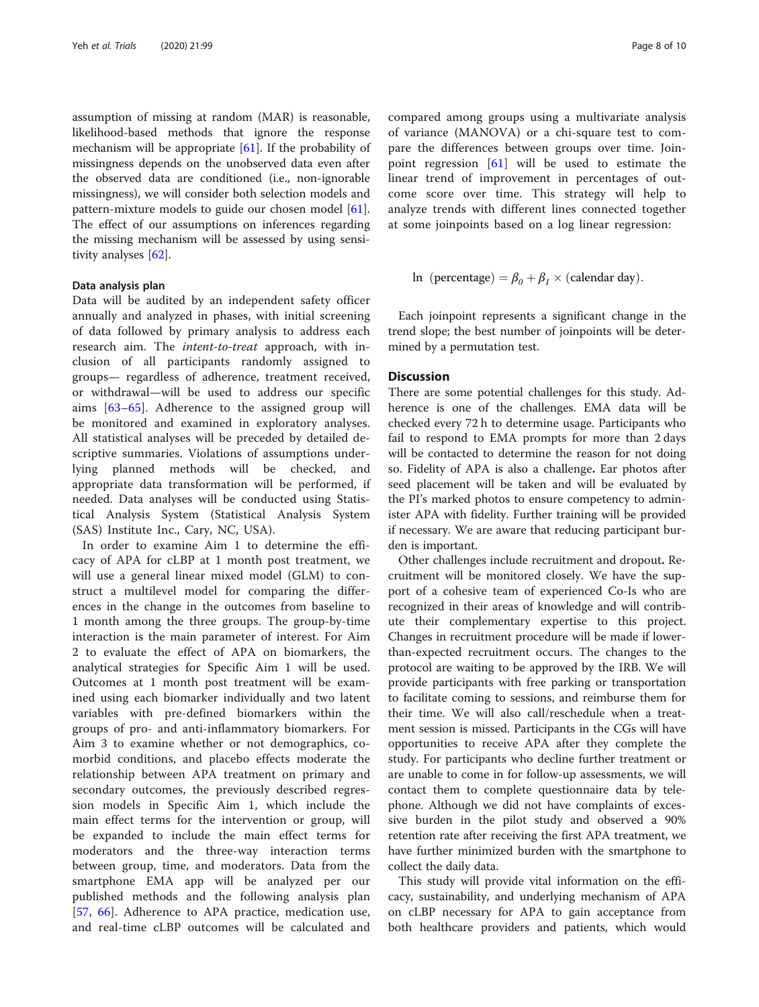assumption of missing at random (MAR) is reasonable, likelihood-based methods that ignore the response mechanism will be appropriate [\[61\]](#page-9-0). If the probability of missingness depends on the unobserved data even after the observed data are conditioned (i.e., non-ignorable missingness), we will consider both selection models and pattern-mixture models to guide our chosen model [\[61](#page-9-0)]. The effect of our assumptions on inferences regarding the missing mechanism will be assessed by using sensitivity analyses [\[62](#page-9-0)].

#### Data analysis plan

Data will be audited by an independent safety officer annually and analyzed in phases, with initial screening of data followed by primary analysis to address each research aim. The intent-to-treat approach, with inclusion of all participants randomly assigned to groups— regardless of adherence, treatment received, or withdrawal—will be used to address our specific aims [[63](#page-9-0)–[65\]](#page-9-0). Adherence to the assigned group will be monitored and examined in exploratory analyses. All statistical analyses will be preceded by detailed descriptive summaries. Violations of assumptions underlying planned methods will be checked, and appropriate data transformation will be performed, if needed. Data analyses will be conducted using Statistical Analysis System (Statistical Analysis System (SAS) Institute Inc., Cary, NC, USA).

In order to examine Aim 1 to determine the efficacy of APA for cLBP at 1 month post treatment, we will use a general linear mixed model (GLM) to construct a multilevel model for comparing the differences in the change in the outcomes from baseline to 1 month among the three groups. The group-by-time interaction is the main parameter of interest. For Aim 2 to evaluate the effect of APA on biomarkers, the analytical strategies for Specific Aim 1 will be used. Outcomes at 1 month post treatment will be examined using each biomarker individually and two latent variables with pre-defined biomarkers within the groups of pro- and anti-inflammatory biomarkers. For Aim 3 to examine whether or not demographics, comorbid conditions, and placebo effects moderate the relationship between APA treatment on primary and secondary outcomes, the previously described regression models in Specific Aim 1, which include the main effect terms for the intervention or group, will be expanded to include the main effect terms for moderators and the three-way interaction terms between group, time, and moderators. Data from the smartphone EMA app will be analyzed per our published methods and the following analysis plan [[57,](#page-9-0) [66\]](#page-9-0). Adherence to APA practice, medication use, and real-time cLBP outcomes will be calculated and compared among groups using a multivariate analysis of variance (MANOVA) or a chi-square test to compare the differences between groups over time. Joinpoint regression  $\begin{bmatrix} 61 \end{bmatrix}$  will be used to estimate the linear trend of improvement in percentages of outcome score over time. This strategy will help to analyze trends with different lines connected together at some joinpoints based on a log linear regression:

In (percentage) = 
$$
\beta_0 + \beta_1 \times
$$
 (calendar day).

Each joinpoint represents a significant change in the trend slope; the best number of joinpoints will be determined by a permutation test.

## **Discussion**

There are some potential challenges for this study. Adherence is one of the challenges. EMA data will be checked every 72 h to determine usage. Participants who fail to respond to EMA prompts for more than 2 days will be contacted to determine the reason for not doing so. Fidelity of APA is also a challenge. Ear photos after seed placement will be taken and will be evaluated by the PI's marked photos to ensure competency to administer APA with fidelity. Further training will be provided if necessary. We are aware that reducing participant burden is important.

Other challenges include recruitment and dropout. Recruitment will be monitored closely. We have the support of a cohesive team of experienced Co-Is who are recognized in their areas of knowledge and will contribute their complementary expertise to this project. Changes in recruitment procedure will be made if lowerthan-expected recruitment occurs. The changes to the protocol are waiting to be approved by the IRB. We will provide participants with free parking or transportation to facilitate coming to sessions, and reimburse them for their time. We will also call/reschedule when a treatment session is missed. Participants in the CGs will have opportunities to receive APA after they complete the study. For participants who decline further treatment or are unable to come in for follow-up assessments, we will contact them to complete questionnaire data by telephone. Although we did not have complaints of excessive burden in the pilot study and observed a 90% retention rate after receiving the first APA treatment, we have further minimized burden with the smartphone to collect the daily data.

This study will provide vital information on the efficacy, sustainability, and underlying mechanism of APA on cLBP necessary for APA to gain acceptance from both healthcare providers and patients, which would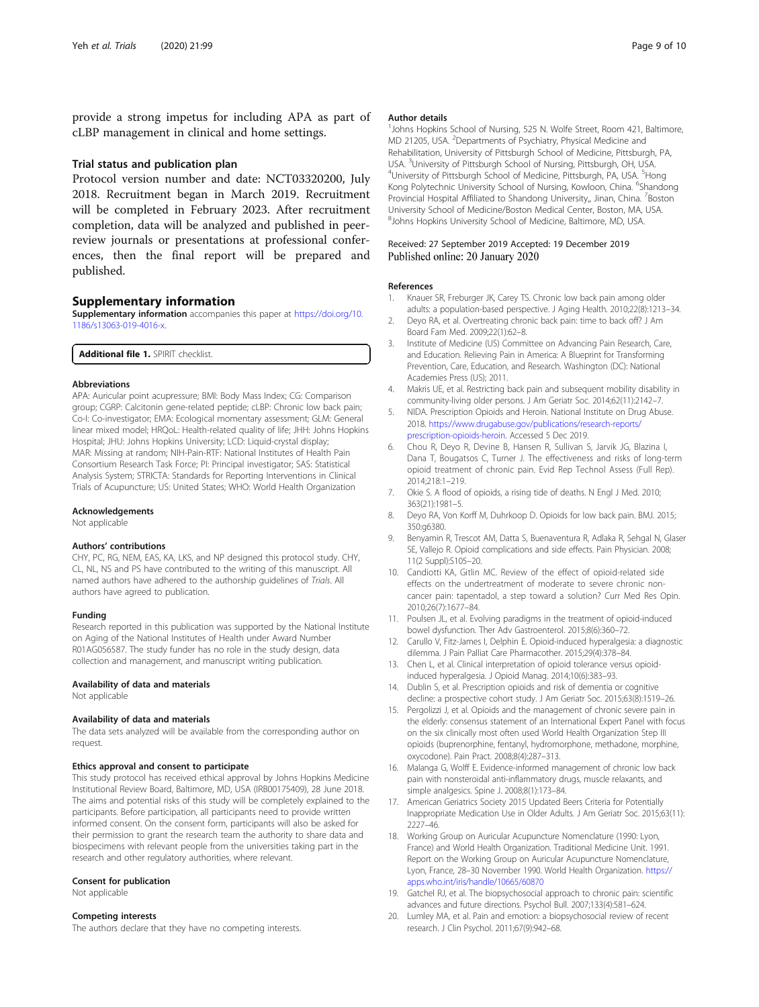<span id="page-8-0"></span>provide a strong impetus for including APA as part of cLBP management in clinical and home settings.

#### Trial status and publication plan

Protocol version number and date: NCT03320200, July 2018. Recruitment began in March 2019. Recruitment will be completed in February 2023. After recruitment completion, data will be analyzed and published in peerreview journals or presentations at professional conferences, then the final report will be prepared and published.

## Supplementary information

Supplementary information accompanies this paper at [https://doi.org/10.](https://doi.org/10.1186/s13063-019-4016-x) [1186/s13063-019-4016-x](https://doi.org/10.1186/s13063-019-4016-x).

Additional file 1. SPIRIT checklist.

#### Abbreviations

APA: Auricular point acupressure; BMI: Body Mass Index; CG: Comparison group; CGRP: Calcitonin gene-related peptide; cLBP: Chronic low back pain; Co-I: Co-investigator; EMA: Ecological momentary assessment; GLM: General linear mixed model; HRQoL: Health-related quality of life; JHH: Johns Hopkins Hospital; JHU: Johns Hopkins University; LCD: Liquid-crystal display; MAR: Missing at random; NIH-Pain-RTF: National Institutes of Health Pain Consortium Research Task Force; PI: Principal investigator; SAS: Statistical Analysis System; STRICTA: Standards for Reporting Interventions in Clinical Trials of Acupuncture; US: United States; WHO: World Health Organization

#### Acknowledgements

Not applicable

#### Authors' contributions

CHY, PC, RG, NEM, EAS, KA, LKS, and NP designed this protocol study. CHY, CL, NL, NS and PS have contributed to the writing of this manuscript. All named authors have adhered to the authorship guidelines of Trials. All authors have agreed to publication.

#### Funding

Research reported in this publication was supported by the National Institute on Aging of the National Institutes of Health under Award Number R01AG056587. The study funder has no role in the study design, data collection and management, and manuscript writing publication.

#### Availability of data and materials

Not applicable

#### Availability of data and materials

The data sets analyzed will be available from the corresponding author on request.

#### Ethics approval and consent to participate

This study protocol has received ethical approval by Johns Hopkins Medicine Institutional Review Board, Baltimore, MD, USA (IRB00175409), 28 June 2018. The aims and potential risks of this study will be completely explained to the participants. Before participation, all participants need to provide written informed consent. On the consent form, participants will also be asked for their permission to grant the research team the authority to share data and biospecimens with relevant people from the universities taking part in the research and other regulatory authorities, where relevant.

#### Consent for publication

Not applicable

## Competing interests

The authors declare that they have no competing interests.

#### Author details

<sup>1</sup> Johns Hopkins School of Nursing, 525 N. Wolfe Street, Room 421, Baltimore, MD 21205, USA. <sup>2</sup> Departments of Psychiatry, Physical Medicine and Rehabilitation, University of Pittsburgh School of Medicine, Pittsburgh, PA, USA. <sup>3</sup>University of Pittsburgh School of Nursing, Pittsburgh, OH, USA.<br><sup>4</sup>University of Pittsburgh School of Medicine, Pittsburgh, PA, USA. <sup>5</sup>Ho University of Pittsburgh School of Medicine, Pittsburgh, PA, USA. <sup>5</sup>Hong Kong Polytechnic University School of Nursing, Kowloon, China. <sup>6</sup>Shandong Provincial Hospital Affiliated to Shandong University,, Jinan, China. <sup>7</sup>Boston University School of Medicine/Boston Medical Center, Boston, MA, USA. 8 Johns Hopkins University School of Medicine, Baltimore, MD, USA.

#### Received: 27 September 2019 Accepted: 19 December 2019 Published online: 20 January 2020

#### References

- 1. Knauer SR, Freburger JK, Carey TS. Chronic low back pain among older adults: a population-based perspective. J Aging Health. 2010;22(8):1213–34.
- 2. Deyo RA, et al. Overtreating chronic back pain: time to back off? J Am Board Fam Med. 2009;22(1):62–8.
- 3. Institute of Medicine (US) Committee on Advancing Pain Research, Care, and Education. Relieving Pain in America: A Blueprint for Transforming Prevention, Care, Education, and Research. Washington (DC): National Academies Press (US); 2011.
- 4. Makris UE, et al. Restricting back pain and subsequent mobility disability in community-living older persons. J Am Geriatr Soc. 2014;62(11):2142–7.
- 5. NIDA. Prescription Opioids and Heroin. National Institute on Drug Abuse. 2018. [https://www.drugabuse.gov/publications/research-reports/](https://www.drugabuse.gov/publications/research-reports/prescription-opioids-heroin) [prescription-opioids-heroin.](https://www.drugabuse.gov/publications/research-reports/prescription-opioids-heroin) Accessed 5 Dec 2019.
- 6. Chou R, Deyo R, Devine B, Hansen R, Sullivan S, Jarvik JG, Blazina I, Dana T, Bougatsos C, Turner J. The effectiveness and risks of long-term opioid treatment of chronic pain. Evid Rep Technol Assess (Full Rep). 2014;218:1–219.
- 7. Okie S. A flood of opioids, a rising tide of deaths. N Engl J Med. 2010; 363(21):1981–5.
- 8. Deyo RA, Von Korff M, Duhrkoop D. Opioids for low back pain. BMJ. 2015; 350:g6380.
- 9. Benyamin R, Trescot AM, Datta S, Buenaventura R, Adlaka R, Sehgal N, Glaser SE, Vallejo R. Opioid complications and side effects. Pain Physician. 2008; 11(2 Suppl):S105–20.
- 10. Candiotti KA, Gitlin MC. Review of the effect of opioid-related side effects on the undertreatment of moderate to severe chronic noncancer pain: tapentadol, a step toward a solution? Curr Med Res Opin. 2010;26(7):1677–84.
- 11. Poulsen JL, et al. Evolving paradigms in the treatment of opioid-induced bowel dysfunction. Ther Adv Gastroenterol. 2015;8(6):360–72.
- 12. Carullo V, Fitz-James I, Delphin E. Opioid-induced hyperalgesia: a diagnostic dilemma. J Pain Palliat Care Pharmacother. 2015;29(4):378–84.
- 13. Chen L, et al. Clinical interpretation of opioid tolerance versus opioidinduced hyperalgesia. J Opioid Manag. 2014;10(6):383–93.
- 14. Dublin S, et al. Prescription opioids and risk of dementia or cognitive decline: a prospective cohort study. J Am Geriatr Soc. 2015;63(8):1519–26.
- 15. Pergolizzi J, et al. Opioids and the management of chronic severe pain in the elderly: consensus statement of an International Expert Panel with focus on the six clinically most often used World Health Organization Step III opioids (buprenorphine, fentanyl, hydromorphone, methadone, morphine, oxycodone). Pain Pract. 2008;8(4):287–313.
- 16. Malanga G, Wolff E. Evidence-informed management of chronic low back pain with nonsteroidal anti-inflammatory drugs, muscle relaxants, and simple analgesics. Spine J. 2008;8(1):173–84.
- 17. American Geriatrics Society 2015 Updated Beers Criteria for Potentially Inappropriate Medication Use in Older Adults. J Am Geriatr Soc. 2015;63(11): 2227–46.
- 18. Working Group on Auricular Acupuncture Nomenclature (1990: Lyon, France) and World Health Organization. Traditional Medicine Unit. 1991. Report on the Working Group on Auricular Acupuncture Nomenclature, Lyon, France, 28–30 November 1990. World Health Organization. [https://](https://apps.who.int/iris/handle/10665/60870) [apps.who.int/iris/handle/10665/60870](https://apps.who.int/iris/handle/10665/60870)
- 19. Gatchel RJ, et al. The biopsychosocial approach to chronic pain: scientific advances and future directions. Psychol Bull. 2007;133(4):581–624.
- 20. Lumley MA, et al. Pain and emotion: a biopsychosocial review of recent research. J Clin Psychol. 2011;67(9):942–68.